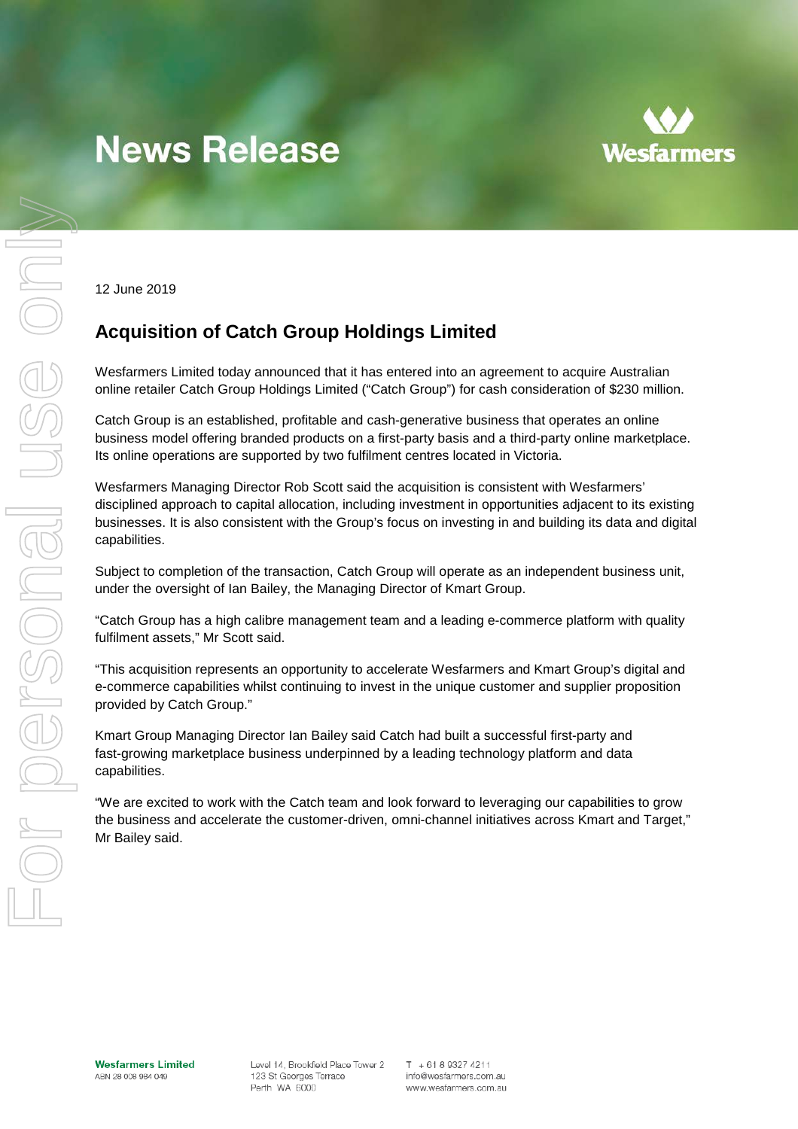# **News Release**



12 June 2019

# **Acquisition of Catch Group Holdings Limited**

Wesfarmers Limited today announced that it has entered into an agreement to acquire Australian online retailer Catch Group Holdings Limited ("Catch Group") for cash consideration of \$230 million.

Catch Group is an established, profitable and cash-generative business that operates an online business model offering branded products on a first-party basis and a third-party online marketplace. Its online operations are supported by two fulfilment centres located in Victoria.

Wesfarmers Managing Director Rob Scott said the acquisition is consistent with Wesfarmers' disciplined approach to capital allocation, including investment in opportunities adjacent to its existing businesses. It is also consistent with the Group's focus on investing in and building its data and digital capabilities.

Subject to completion of the transaction, Catch Group will operate as an independent business unit, under the oversight of Ian Bailey, the Managing Director of Kmart Group.

"Catch Group has a high calibre management team and a leading e-commerce platform with quality fulfilment assets," Mr Scott said.

"This acquisition represents an opportunity to accelerate Wesfarmers and Kmart Group's digital and e-commerce capabilities whilst continuing to invest in the unique customer and supplier proposition provided by Catch Group."

Kmart Group Managing Director Ian Bailey said Catch had built a successful first-party and fast-growing marketplace business underpinned by a leading technology platform and data capabilities.

"We are excited to work with the Catch team and look forward to leveraging our capabilities to grow the business and accelerate the customer-driven, omni-channel initiatives across Kmart and Target," Mr Bailey said.

Level 14, Brookfield Place Tower 2 123 St Georges Terrace Perth WA 6000

 $T + 61893274211$ info@wesfarmers.com.au www.wesfarmers.com.au